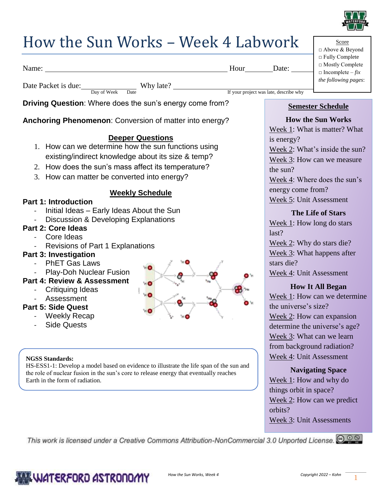

|                                                                                                                                                                                   |                                 | سرب                                               |  |
|-----------------------------------------------------------------------------------------------------------------------------------------------------------------------------------|---------------------------------|---------------------------------------------------|--|
| How the Sun Works - Week 4 Labwork                                                                                                                                                | Score<br>□ Above & Beyond       |                                                   |  |
| Hour Date:<br>Name:                                                                                                                                                               |                                 | □ Fully Complete<br>□ Mostly Complete             |  |
|                                                                                                                                                                                   |                                 | $\Box$ Incomplete – $fix$<br>the following pages: |  |
| Date Packet is due: Day of Week Date Why late?<br>If your project was late, describe why                                                                                          |                                 |                                                   |  |
|                                                                                                                                                                                   |                                 |                                                   |  |
| Driving Question: Where does the sun's energy come from?                                                                                                                          | <b>Semester Schedule</b>        |                                                   |  |
| Anchoring Phenomenon: Conversion of matter into energy?                                                                                                                           |                                 | <b>How the Sun Works</b>                          |  |
|                                                                                                                                                                                   |                                 | Week 1: What is matter? What                      |  |
| <b>Deeper Questions</b>                                                                                                                                                           | is energy?                      |                                                   |  |
| 1. How can we determine how the sun functions using                                                                                                                               | Week 2: What's inside the sun?  |                                                   |  |
| existing/indirect knowledge about its size & temp?                                                                                                                                |                                 | Week 3: How can we measure                        |  |
| 2. How does the sun's mass affect its temperature?<br>the sun?                                                                                                                    |                                 |                                                   |  |
| 3. How can matter be converted into energy?                                                                                                                                       |                                 | Week 4: Where does the sun's                      |  |
| <b>Weekly Schedule</b>                                                                                                                                                            | energy come from?               |                                                   |  |
| <b>Part 1: Introduction</b>                                                                                                                                                       | Week 5: Unit Assessment         |                                                   |  |
| Initial Ideas - Early Ideas About the Sun                                                                                                                                         |                                 | <b>The Life of Stars</b>                          |  |
| Discussion & Developing Explanations<br><b>Part 2: Core Ideas</b>                                                                                                                 | Week $1$ : How long do stars    |                                                   |  |
| Core Ideas                                                                                                                                                                        | last?                           |                                                   |  |
| <b>Revisions of Part 1 Explanations</b>                                                                                                                                           | Week 2: Why do stars die?       |                                                   |  |
| <b>Part 3: Investigation</b>                                                                                                                                                      | Week $3$ : What happens after   |                                                   |  |
| <b>PhET Gas Laws</b>                                                                                                                                                              | stars die?                      |                                                   |  |
| <b>Play-Doh Nuclear Fusion</b><br>D 1н<br>Part 4: Review & Assessment                                                                                                             | Week 4: Unit Assessment         |                                                   |  |
| <b>Critiquing Ideas</b>                                                                                                                                                           |                                 | <b>How It All Began</b>                           |  |
| HO<br>Assessment                                                                                                                                                                  |                                 | Week 1: How can we determine                      |  |
| <b>Part 5: Side Quest</b>                                                                                                                                                         | the universe's size?            |                                                   |  |
| <b>Weekly Recap</b>                                                                                                                                                               | Week 2: How can expansion       |                                                   |  |
| <b>Side Quests</b>                                                                                                                                                                |                                 | determine the universe's age?                     |  |
|                                                                                                                                                                                   | Week 3: What can we learn       |                                                   |  |
|                                                                                                                                                                                   | from background radiation?      |                                                   |  |
| <b>NGSS Standards:</b>                                                                                                                                                            | Week 4: Unit Assessment         |                                                   |  |
| HS-ESS1-1: Develop a model based on evidence to illustrate the life span of the sun and<br>the role of nuclear fusion in the sun's core to release energy that eventually reaches |                                 | <b>Navigating Space</b>                           |  |
| Earth in the form of radiation.                                                                                                                                                   | Week 1: How and why do          |                                                   |  |
|                                                                                                                                                                                   | things orbit in space?          |                                                   |  |
|                                                                                                                                                                                   |                                 | Week $2$ : How can we predict                     |  |
|                                                                                                                                                                                   | orbits?                         |                                                   |  |
|                                                                                                                                                                                   | <b>Week 3: Unit Assessments</b> |                                                   |  |
| This work is licensed under a Creative Commons Attribution-NonCommercial 3.0 Unported License. @ 0 @                                                                              |                                 |                                                   |  |

### WATERFORD ASTRONOMY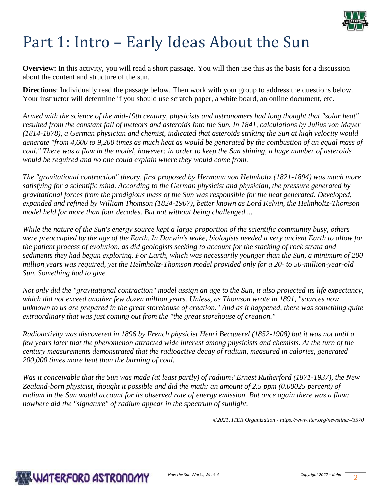

# Part 1: Intro – Early Ideas About the Sun

**Overview:** In this activity, you will read a short passage. You will then use this as the basis for a discussion about the content and structure of the sun.

**Directions**: Individually read the passage below. Then work with your group to address the questions below. Your instructor will determine if you should use scratch paper, a white board, an online document, etc.

*Armed with the science of the mid-19th century, physicists and astronomers had long thought that "solar heat" resulted from the constant fall of meteors and asteroids into the Sun. In 1841, calculations by Julius von Mayer (1814-1878), a German physician and chemist, indicated that asteroids striking the Sun at high velocity would generate "from 4,600 to 9,200 times as much heat as would be generated by the combustion of an equal mass of coal." There was a flaw in the model, however: in order to keep the Sun shining, a huge number of asteroids would be required and no one could explain where they would come from.*

*The "gravitational contraction" theory, first proposed by Hermann von Helmholtz (1821-1894) was much more satisfying for a scientific mind. According to the German physicist and physician, the pressure generated by gravitational forces from the prodigious mass of the Sun was responsible for the heat generated. Developed, expanded and refined by William Thomson (1824-1907), better known as Lord Kelvin, the Helmholtz-Thomson model held for more than four decades. But not without being challenged ...*

*While the nature of the Sun's energy source kept a large proportion of the scientific community busy, others were preoccupied by the age of the Earth. In Darwin's wake, biologists needed a very ancient Earth to allow for the patient process of evolution, as did geologists seeking to account for the stacking of rock strata and sediments they had begun exploring. For Earth, which was necessarily younger than the Sun, a minimum of 200 million years was required, yet the Helmholtz-Thomson model provided only for a 20- to 50-million-year-old Sun. Something had to give.*

*Not only did the "gravitational contraction" model assign an age to the Sun, it also projected its life expectancy, which did not exceed another few dozen million years. Unless, as Thomson wrote in 1891, "sources now unknown to us are prepared in the great storehouse of creation." And as it happened, there was something quite extraordinary that was just coming out from the "the great storehouse of creation."*

*Radioactivity was discovered in 1896 by French physicist Henri Becquerel (1852-1908) but it was not until a few years later that the phenomenon attracted wide interest among physicists and chemists. At the turn of the century measurements demonstrated that the radioactive decay of radium, measured in calories, generated 200,000 times more heat than the burning of coal.*

*Was it conceivable that the Sun was made (at least partly) of radium? Ernest Rutherford (1871-1937), the New Zealand-born physicist, thought it possible and did the math: an amount of 2.5 ppm (0.00025 percent) of radium in the Sun would account for its observed rate of energy emission. But once again there was a flaw: nowhere did the "signature" of radium appear in the spectrum of sunlight.*

*©2021, ITER Organization - <https://www.iter.org/newsline/-/3570>*

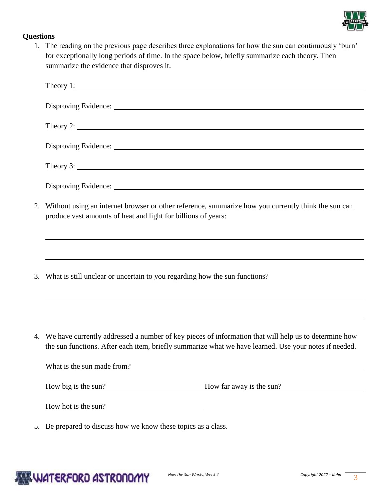

### **Questions**

1. The reading on the previous page describes three explanations for how the sun can continuously 'burn' for exceptionally long periods of time. In the space below, briefly summarize each theory. Then summarize the evidence that disproves it.

|    | Theory 1: $\qquad \qquad$                                                                                                                                                                                                                                                                                       |  |  |  |  |  |
|----|-----------------------------------------------------------------------------------------------------------------------------------------------------------------------------------------------------------------------------------------------------------------------------------------------------------------|--|--|--|--|--|
|    |                                                                                                                                                                                                                                                                                                                 |  |  |  |  |  |
|    | Theory 2: $\frac{1}{2}$ $\frac{1}{2}$ $\frac{1}{2}$ $\frac{1}{2}$ $\frac{1}{2}$ $\frac{1}{2}$ $\frac{1}{2}$ $\frac{1}{2}$ $\frac{1}{2}$ $\frac{1}{2}$ $\frac{1}{2}$ $\frac{1}{2}$ $\frac{1}{2}$ $\frac{1}{2}$ $\frac{1}{2}$ $\frac{1}{2}$ $\frac{1}{2}$ $\frac{1}{2}$ $\frac{1}{2}$ $\frac{1}{2}$ $\frac{1}{2}$ |  |  |  |  |  |
|    |                                                                                                                                                                                                                                                                                                                 |  |  |  |  |  |
|    | Theory 3:                                                                                                                                                                                                                                                                                                       |  |  |  |  |  |
|    |                                                                                                                                                                                                                                                                                                                 |  |  |  |  |  |
| 2. | Without using an internet browser or other reference, summarize how you currently think the sun can<br>produce vast amounts of heat and light for billions of years:                                                                                                                                            |  |  |  |  |  |
|    | ,我们也不会有什么。""我们的人,我们也不会有什么?""我们的人,我们也不会有什么?""我们的人,我们也不会有什么?""我们的人,我们也不会有什么?""我们的人<br>3. What is still unclear or uncertain to you regarding how the sun functions?                                                                                                                                               |  |  |  |  |  |
|    | 4. We have currently addressed a number of key pieces of information that will help us to determine how<br>the sun functions. After each item, briefly summarize what we have learned. Use your notes if needed.<br>What is the sun made from?                                                                  |  |  |  |  |  |
|    | How big is the sun?<br>How far away is the sun?<br>How hot is the sun?                                                                                                                                                                                                                                          |  |  |  |  |  |

5. Be prepared to discuss how we know these topics as a class.

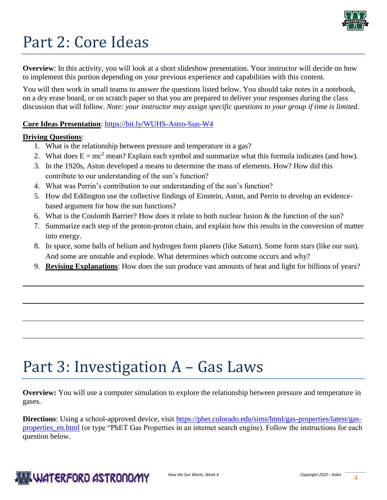

# Part 2: Core Ideas

**Overview**: In this activity, you will look at a short slideshow presentation. Your instructor will decide on how to implement this portion depending on your previous experience and capabilities with this content.

You will then work in small teams to answer the questions listed below. You should take notes in a notebook, on a dry erase board, or on scratch paper so that you are prepared to deliver your responses during the class discussion that will follow. *Note: your instructor may assign specific questions to your group if time is limited.* 

**Core Ideas Presentation**: <https://bit.ly/WUHS-Astro-Sun-W4>

#### **Driving Questions**:

- 1. What is the relationship between pressure and temperature in a gas?
- 2. What does  $E = mc^2$  mean? Explain each symbol and summarize what this formula indicates (and how).
- 3. In the 1920s, Aston developed a means to determine the mass of elements. How? How did this contribute to our understanding of the sun's function?
- 4. What was Perrin's contribution to our understanding of the sun's function?
- 5. How did Eddington use the collective findings of Einstein, Aston, and Perrin to develop an evidencebased argument for how the sun functions?
- 6. What is the Coulomb Barrier? How does it relate to both nuclear fusion & the function of the sun?
- 7. Summarize each step of the proton-proton chain, and explain how this results in the conversion of matter into energy.
- 8. In space, some balls of helium and hydrogen form planets (like Saturn). Some form stars (like our sun). And some are unstable and explode. What determines which outcome occurs and why?
- 9. **Revising Explanations**: How does the sun produce vast amounts of heat and light for billions of years?

## Part 3: Investigation A – Gas Laws

**Overview:** You will use a computer simulation to explore the relationship between pressure and temperature in gases.

**Directions**: Using a school-approved device, visit [https://phet.colorado.edu/sims/html/gas-properties/latest/gas](https://phet.colorado.edu/sims/html/gas-properties/latest/gas-properties_en.html)properties en.html (or type "PhET Gas Properties in an internet search engine). Follow the instructions for each question below.

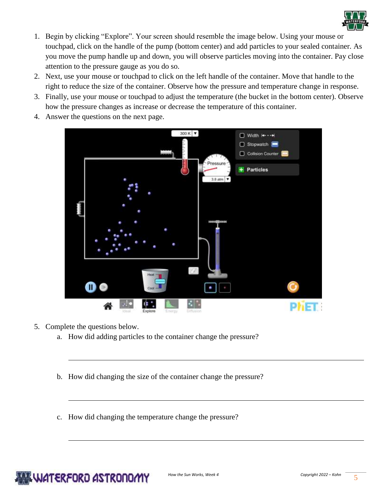

- 1. Begin by clicking "Explore". Your screen should resemble the image below. Using your mouse or touchpad, click on the handle of the pump (bottom center) and add particles to your sealed container. As you move the pump handle up and down, you will observe particles moving into the container. Pay close attention to the pressure gauge as you do so.
- 2. Next, use your mouse or touchpad to click on the left handle of the container. Move that handle to the right to reduce the size of the container. Observe how the pressure and temperature change in response.
- 3. Finally, use your mouse or touchpad to adjust the temperature (the bucket in the bottom center). Observe how the pressure changes as increase or decrease the temperature of this container.
- 4. Answer the questions on the next page.



- 5. Complete the questions below.
	- a. How did adding particles to the container change the pressure?
	- b. How did changing the size of the container change the pressure?
	- c. How did changing the temperature change the pressure?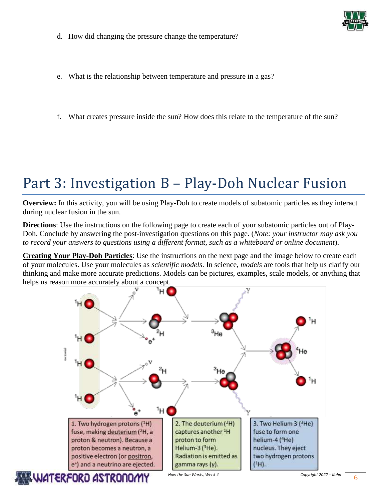

- d. How did changing the pressure change the temperature?
- e. What is the relationship between temperature and pressure in a gas?
- f. What creates pressure inside the sun? How does this relate to the temperature of the sun?

### Part 3: Investigation B – Play-Doh Nuclear Fusion

**Overview:** In this activity, you will be using Play-Doh to create models of subatomic particles as they interact during nuclear fusion in the sun.

**Directions**: Use the instructions on the following page to create each of your subatomic particles out of Play-Doh. Conclude by answering the post-investigation questions on this page. (*Note: your instructor may ask you to record your answers to questions using a different format, such as a whiteboard or online document*).

**Creating Your Play-Doh Particles**: Use the instructions on the next page and the image below to create each of your molecules. Use your molecules as *scientific models*. In science, *models* are tools that help us clarify our thinking and make more accurate predictions. Models can be pictures, examples, scale models, or anything that helps us reason more accurately about a concept.



**ILWATERFORO ASTRONOM** 

*How the Sun Works, Week 4 Copyright 2022 – Kohn* 6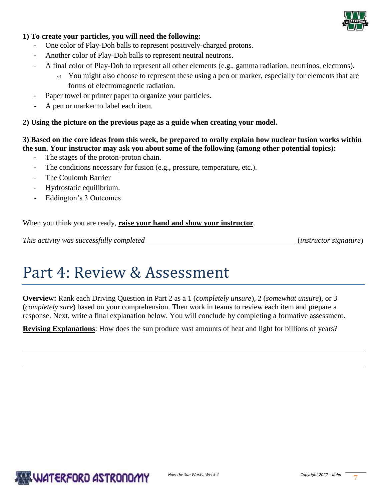

#### **1) To create your particles, you will need the following:**

- One color of Play-Doh balls to represent positively-charged protons.
- Another color of Play-Doh balls to represent neutral neutrons.
- A final color of Play-Doh to represent all other elements (e.g., gamma radiation, neutrinos, electrons).
	- o You might also choose to represent these using a pen or marker, especially for elements that are forms of electromagnetic radiation.
- Paper towel or printer paper to organize your particles.
- A pen or marker to label each item.

**2) Using the picture on the previous page as a guide when creating your model.** 

**3) Based on the core ideas from this week, be prepared to orally explain how nuclear fusion works within the sun. Your instructor may ask you about some of the following (among other potential topics):** 

- The stages of the proton-proton chain.
- The conditions necessary for fusion (e.g., pressure, temperature, etc.).
- The Coulomb Barrier
- Hydrostatic equilibrium.
- Eddington's 3 Outcomes

When you think you are ready, **raise your hand and show your instructor**.

*This activity was successfully completed* (*instructor signature*)

### Part 4: Review & Assessment

**Overview:** Rank each Driving Question in Part 2 as a 1 (*completely unsure*), 2 (*somewhat unsure*), or 3 (*completely sure*) based on your comprehension. Then work in teams to review each item and prepare a response. Next, write a final explanation below. You will conclude by completing a formative assessment.

**Revising Explanations**: How does the sun produce vast amounts of heat and light for billions of years?

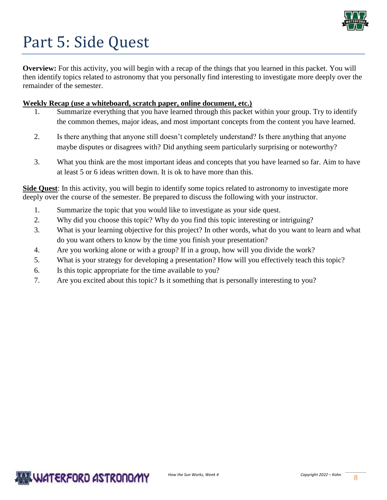

# Part 5: Side Quest

**Overview:** For this activity, you will begin with a recap of the things that you learned in this packet. You will then identify topics related to astronomy that you personally find interesting to investigate more deeply over the remainder of the semester.

#### **Weekly Recap (use a whiteboard, scratch paper, online document, etc.)**

- Summarize everything that you have learned through this packet within your group. Try to identify the common themes, major ideas, and most important concepts from the content you have learned.
- 2. Is there anything that anyone still doesn't completely understand? Is there anything that anyone maybe disputes or disagrees with? Did anything seem particularly surprising or noteworthy?
- 3. What you think are the most important ideas and concepts that you have learned so far. Aim to have at least 5 or 6 ideas written down. It is ok to have more than this.

**Side Quest**: In this activity, you will begin to identify some topics related to astronomy to investigate more deeply over the course of the semester. Be prepared to discuss the following with your instructor.

- 1. Summarize the topic that you would like to investigate as your side quest.
- 2. Why did you choose this topic? Why do you find this topic interesting or intriguing?
- 3. What is your learning objective for this project? In other words, what do you want to learn and what do you want others to know by the time you finish your presentation?
- 4. Are you working alone or with a group? If in a group, how will you divide the work?
- 5. What is your strategy for developing a presentation? How will you effectively teach this topic?
- 6. Is this topic appropriate for the time available to you?
- 7. Are you excited about this topic? Is it something that is personally interesting to you?

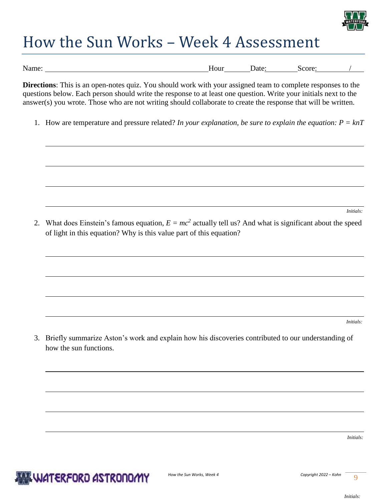

## How the Sun Works – Week 4 Assessment

| $-$<br>Name: | Hour | Jate | core<br>ำเ |  |
|--------------|------|------|------------|--|

**Directions**: This is an open-notes quiz. You should work with your assigned team to complete responses to the questions below. Each person should write the response to at least one question. Write your initials next to the answer(s) you wrote. Those who are not writing should collaborate to create the response that will be written.

1. How are temperature and pressure related? *In your explanation, be sure to explain the equation: P = knT*

*Initials:* 

2. What does Einstein's famous equation,  $E = mc^2$  actually tell us? And what is significant about the speed of light in this equation? Why is this value part of this equation?

*Initials:* 

3. Briefly summarize Aston's work and explain how his discoveries contributed to our understanding of how the sun functions.

*Initials:*